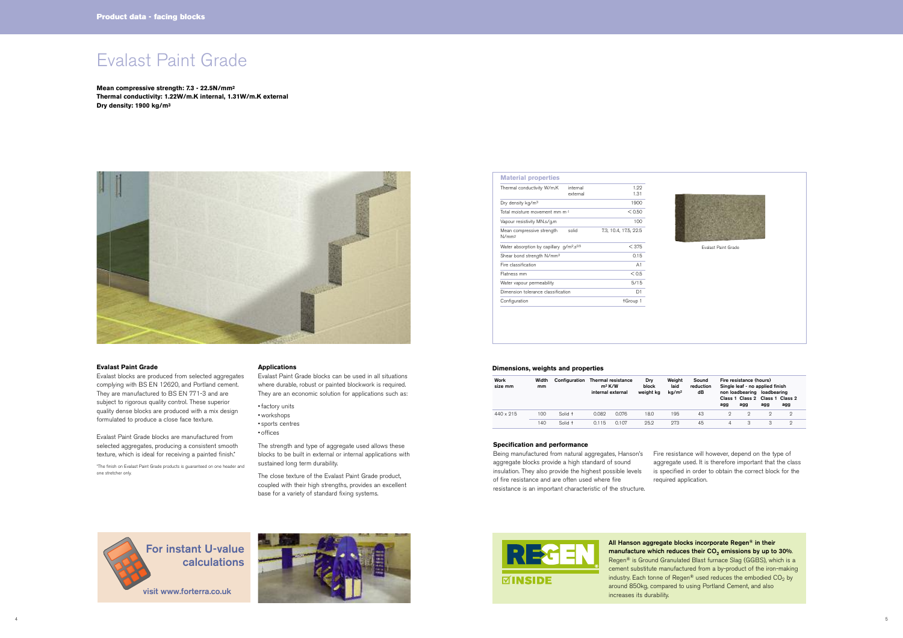# Evalast Paint Grade

**Mean compressive strength: 7.3 - 22.5N/mm2 Thermal conductivity: 1.22W/m.K internal, 1.31W/m.K external Dry density: 1900 kg/m3**



#### **Evalast Paint Grade**

Evalast blocks are produced from selected aggregates complying with BS EN 12620, and Portland cement. They are manufactured to BS EN 771-3 and are subject to rigorous quality control. These superior quality dense blocks are produced with a mix design formulated to produce a close face texture.

Evalast Paint Grade blocks are manufactured from selected aggregates, producing a consistent smooth texture, which is ideal for receiving a painted finish.\*

\*The finish on Evalast Paint Grade products is guaranteed on one header and one stretcher only.

#### **Applications**

Evalast Paint Grade blocks can be used in all situations where durable, robust or painted blockwork is required. They are an economic solution for applications such as:

- factory units
- workshops
- sports centres
- offices

The strength and type of aggregate used allows these blocks to be built in external or internal applications with sustained long term durability.

The close texture of the Evalast Paint Grade product, coupled with their high strengths, provides an excellent base for a variety of standard fixing systems.